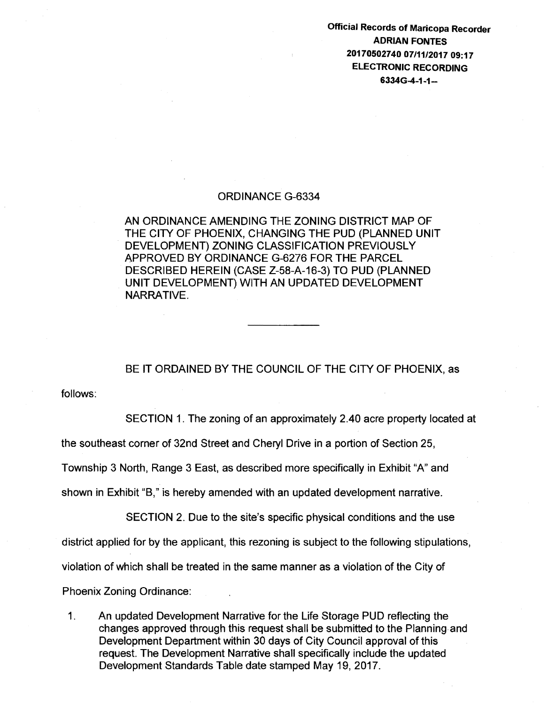Official Records of Maricopa Recorder ADRIAN FONTES 20170502740 07/11/2017 09:17 ELECTRONIC RECORDING 6334G-4-1-1-

## ORDINANCE G-6334

AN ORDINANCE AMENDING THE ZONING DISTRICT MAP OF THE CITY OF PHOENIX, CHANGING THE PUD (PLANNED UNIT DEVELOPMENT) ZONING CLASSIFICATION PREVIOUSLY APPROVED BY ORDINANCE G-6276 FOR THE PARCEL DESCRIBED HEREIN (CASE Z-58-A-16-3) TO PUD (PLANNED UNIT DEVELOPMENT) WITH AN UPDATED DEVELOPMENT NARRATIVE.

BE IT ORDAINED BY THE COUNCIL OF THE CITY OF PHOENIX, as

follows:

SECTION 1. The zoning of an approximately 2.40 acre property located at

the southeast corner of 32nd Street and Cheryl Drive in a portion of Section 25,

Township 3 North, Range 3 East, as described more specifically in Exhibit "A" and

shown in Exhibit "B," is hereby amended with an updated development narrative.

SECTION 2. Due to the site's specific physical conditions and the use

district applied for by the applicant, this rezoning is subject to the following stipulations,

violation of which shall be treated in the same manner as a violation of the City of

Phoenix Zoning Ordinance:

1. An updated Development Narrative for the Life Storage PUD reflecting the changes approved through this request shall be submitted to the Planning and Development Department within 30 days of City Council approval of this request. The Development Narrative shall specifically include the updated Development Standards Table date stamped May 19, 2017.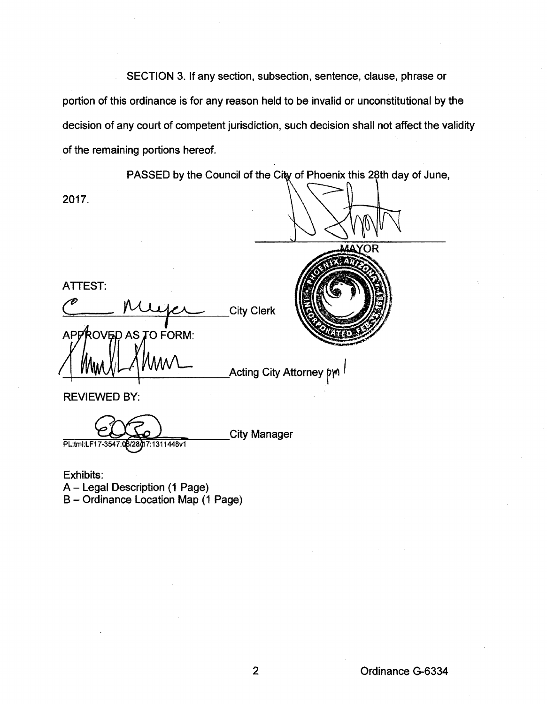SECTION 3. If any section, subsection, sentence, clause, phrase or portion of this ordinance is for any reason held to be invalid or unconstitutional by the decision of any court of competent jurisdiction, such decision shall not affect the validity of the remaining portions hereof.

PASSED by the Council of the City of Phoenix this 28th day of June,

YOR

2017.

ATTEST:

APPROVED AS TO FORM:

City Clerk

Acting City Attorney pm

REVIEWED BY:

**City Manager** 7:1311448v1 PL:tml:LF17-3547 **RIOR** 

Exhibits: A - Legal Description (1 Page) B- Ordinance Location Map (1 Page)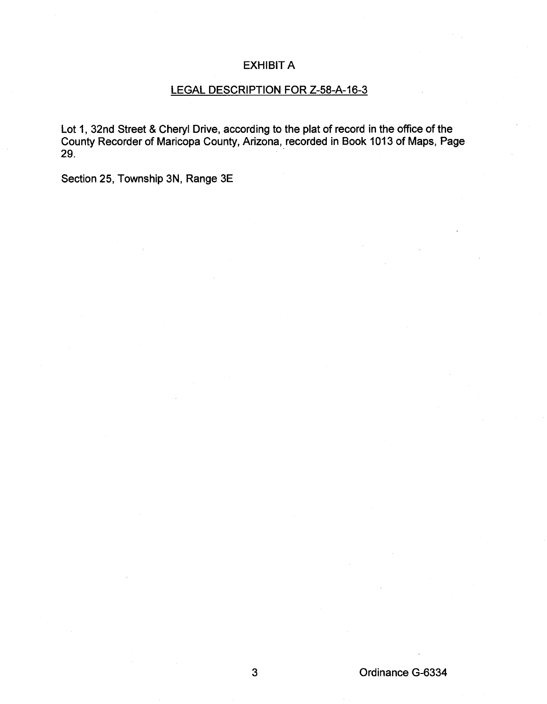## EXHIBIT A

## LEGAL DESCRIPTION FOR Z-58-A-16-3

Lot 1, 32nd Street & Cheryl Drive, according to the plat of record in the office of the County Recorder of Maricopa County, Arizona, recorded in Book 1013 of Maps, Page 29. -

Section 25, Township 3N, Range 3E